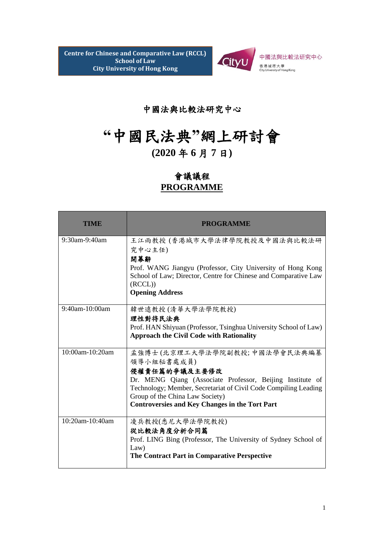

## 中國法與比較法研究中心

## **"**中國民法典**"**網上研討會

## **(2020** 年 **6** 月 **7** 日**)**

## 會議議程 **PROGRAMME**

| TIME             | <b>PROGRAMME</b>                                                                                                                                                                                                                                                                        |
|------------------|-----------------------------------------------------------------------------------------------------------------------------------------------------------------------------------------------------------------------------------------------------------------------------------------|
| $9:30$ am-9:40am | 王江雨教授 (香港城市大學法律學院教授及中國法與比較法研<br>究中心主任)<br>開幕辭<br>Prof. WANG Jiangyu (Professor, City University of Hong Kong<br>School of Law; Director, Centre for Chinese and Comparative Law<br>(RCCL)<br><b>Opening Address</b>                                                                     |
| 9:40am-10:00am   | 韓世遠教授(清華大學法學院教授)<br>理性對待民法典<br>Prof. HAN Shiyuan (Professor, Tsinghua University School of Law)<br><b>Approach the Civil Code with Rationality</b>                                                                                                                                      |
| 10:00am-10:20am  | 孟強博士(北京理工大學法學院副教授;中國法學會民法典編纂<br>領導小組秘書處成員)<br>侵權責任篇的爭議及主要修改<br>Dr. MENG Qiang (Associate Professor, Beijing Institute of<br>Technology; Member, Secretariat of Civil Code Compiling Leading<br>Group of the China Law Society)<br><b>Controversies and Key Changes in the Tort Part</b> |
| 10:20am-10:40am  | 凌兵教授(悉尼大學法學院教授)<br>從比較法角度分析合同篇<br>Prof. LING Bing (Professor, The University of Sydney School of<br>Law)<br>The Contract Part in Comparative Perspective                                                                                                                                |